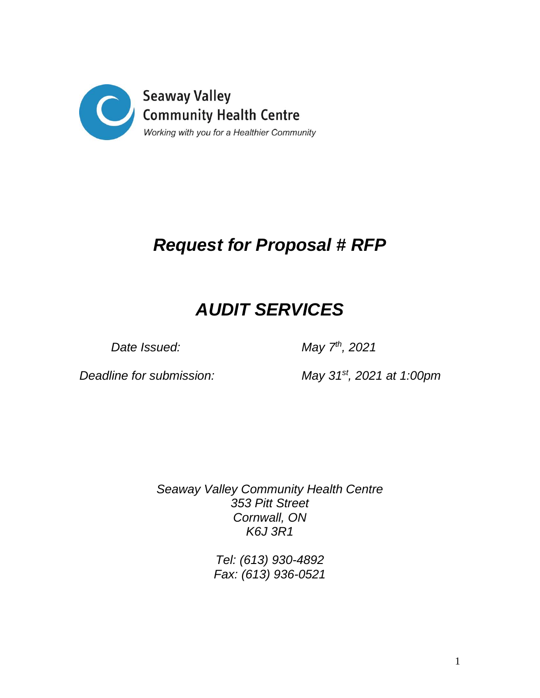

## *Request for Proposal # RFP*

# *AUDIT SERVICES*

Date *Issued:* 

*th , 2021*

*Deadline for submission:* 

*, 2021 at 1:00pm*

*Seaway Valley Community Health Centre 353 Pitt Street Cornwall, ON K6J 3R1*

> *Tel: (613) 930-4892 Fax: (613) 936-0521*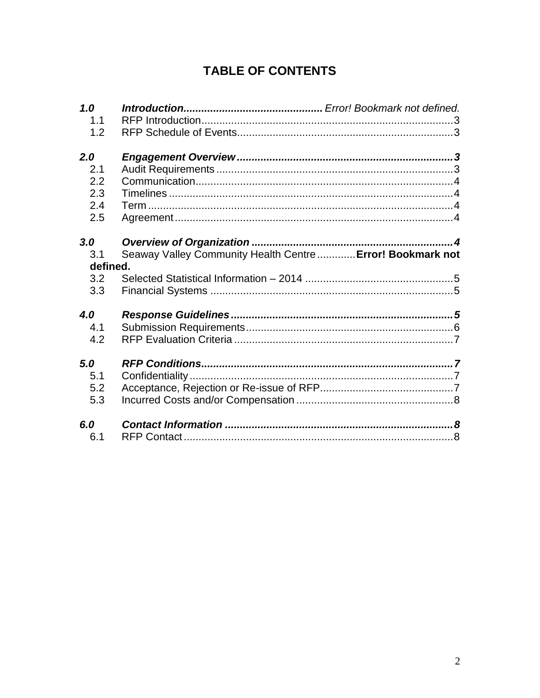### **TABLE OF CONTENTS**

| 1.0      |                                                            |
|----------|------------------------------------------------------------|
| 1.1      |                                                            |
| 1.2      |                                                            |
| 2.0      |                                                            |
| 2.1      |                                                            |
| 2.2      |                                                            |
| 2.3      |                                                            |
| 2.4      |                                                            |
|          |                                                            |
| 2.5      |                                                            |
| 3.0      |                                                            |
| 3.1      | Seaway Valley Community Health Centre  Error! Bookmark not |
| defined. |                                                            |
| 3.2      |                                                            |
| 3.3      |                                                            |
|          |                                                            |
| 4.0      |                                                            |
| 4.1      |                                                            |
| 4.2      |                                                            |
|          |                                                            |
| 5.0      |                                                            |
| 5.1      |                                                            |
| 5.2      |                                                            |
| 5.3      |                                                            |
|          |                                                            |
| 6.0      |                                                            |
| 6.1      |                                                            |
|          |                                                            |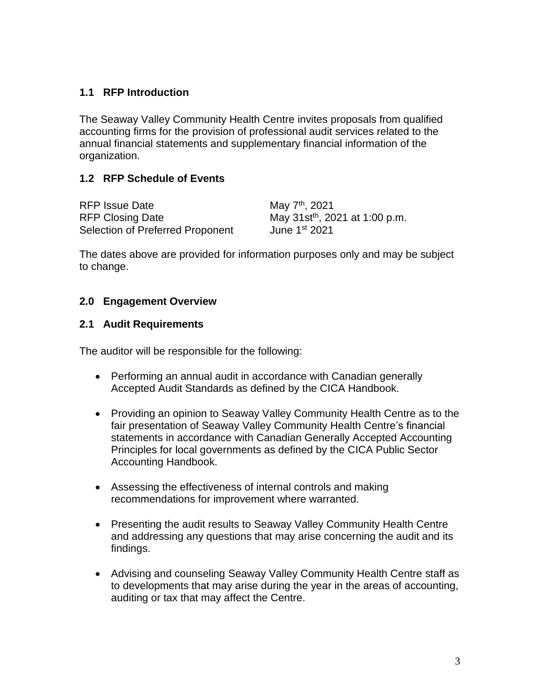#### <span id="page-2-0"></span>**1.1 RFP Introduction**

The Seaway Valley Community Health Centre invites proposals from qualified accounting firms for the provision of professional audit services related to the annual financial statements and supplementary financial information of the organization.

#### <span id="page-2-1"></span>**1.2 RFP Schedule of Events**

| <b>RFP Issue Date</b>            | May 7 <sup>th</sup> , 2021                 |
|----------------------------------|--------------------------------------------|
| <b>RFP Closing Date</b>          | May 31st <sup>th</sup> , 2021 at 1:00 p.m. |
| Selection of Preferred Proponent | June 1 <sup>st</sup> 2021                  |

The dates above are provided for information purposes only and may be subject to change.

#### <span id="page-2-2"></span>**2.0 Engagement Overview**

#### <span id="page-2-3"></span>**2.1 Audit Requirements**

The auditor will be responsible for the following:

- Performing an annual audit in accordance with Canadian generally Accepted Audit Standards as defined by the CICA Handbook.
- Providing an opinion to Seaway Valley Community Health Centre as to the fair presentation of Seaway Valley Community Health Centre's financial statements in accordance with Canadian Generally Accepted Accounting Principles for local governments as defined by the CICA Public Sector Accounting Handbook.
- Assessing the effectiveness of internal controls and making recommendations for improvement where warranted.
- Presenting the audit results to Seaway Valley Community Health Centre and addressing any questions that may arise concerning the audit and its findings.
- Advising and counseling Seaway Valley Community Health Centre staff as to developments that may arise during the year in the areas of accounting, auditing or tax that may affect the Centre.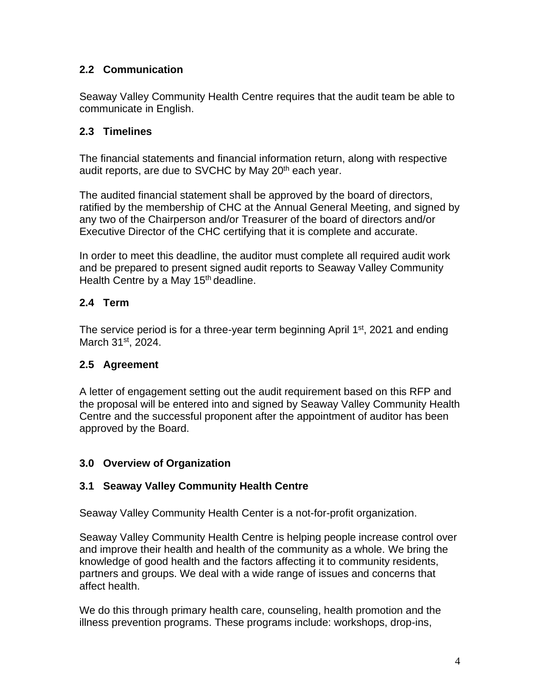#### <span id="page-3-0"></span>**2.2 Communication**

Seaway Valley Community Health Centre requires that the audit team be able to communicate in English.

#### <span id="page-3-1"></span>**2.3 Timelines**

The financial statements and financial information return, along with respective audit reports, are due to SVCHC by May 20<sup>th</sup> each year.

The audited financial statement shall be approved by the board of directors, ratified by the membership of CHC at the Annual General Meeting, and signed by any two of the Chairperson and/or Treasurer of the board of directors and/or Executive Director of the CHC certifying that it is complete and accurate.

In order to meet this deadline, the auditor must complete all required audit work and be prepared to present signed audit reports to Seaway Valley Community Health Centre by a May 15<sup>th</sup> deadline.

#### <span id="page-3-2"></span>**2.4 Term**

The service period is for a three-year term beginning April  $1<sup>st</sup>$ , 2021 and ending March 31<sup>st</sup>, 2024.

#### <span id="page-3-3"></span>**2.5 Agreement**

A letter of engagement setting out the audit requirement based on this RFP and the proposal will be entered into and signed by Seaway Valley Community Health Centre and the successful proponent after the appointment of auditor has been approved by the Board.

#### <span id="page-3-4"></span>**3.0 Overview of Organization**

#### **3.1 Seaway Valley Community Health Centre**

Seaway Valley Community Health Center is a not-for-profit organization.

Seaway Valley Community Health Centre is helping people increase control over and improve their health and health of the community as a whole. We bring the knowledge of good health and the factors affecting it to community residents, partners and groups. We deal with a wide range of issues and concerns that affect health.

We do this through primary health care, counseling, health promotion and the illness prevention programs. These programs include: workshops, drop-ins,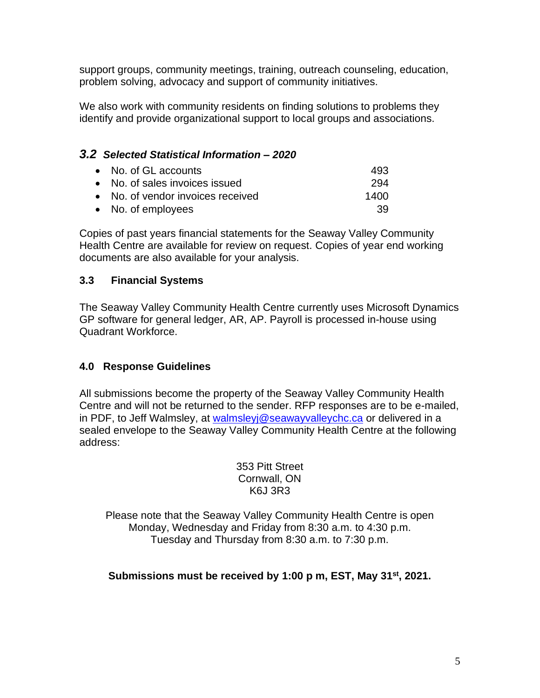support groups, community meetings, training, outreach counseling, education, problem solving, advocacy and support of community initiatives.

We also work with community residents on finding solutions to problems they identify and provide organizational support to local groups and associations.

#### <span id="page-4-0"></span>*3.2 Selected Statistical Information – 2020*

| • No. of GL accounts              | 493  |
|-----------------------------------|------|
| • No. of sales invoices issued    | 294  |
| • No. of vendor invoices received | 1400 |
| • No. of employees                | 39.  |

Copies of past years financial statements for the Seaway Valley Community Health Centre are available for review on request. Copies of year end working documents are also available for your analysis.

#### <span id="page-4-1"></span>**3.3 Financial Systems**

The Seaway Valley Community Health Centre currently uses Microsoft Dynamics GP software for general ledger, AR, AP. Payroll is processed in-house using Quadrant Workforce.

#### <span id="page-4-2"></span>**4.0 Response Guidelines**

All submissions become the property of the Seaway Valley Community Health Centre and will not be returned to the sender. RFP responses are to be e-mailed, in PDF, to Jeff Walmsley, at walmsleyi@seawayvalleychc.ca or delivered in a sealed envelope to the Seaway Valley Community Health Centre at the following address:

> 353 Pitt Street Cornwall, ON K6J 3R3

Please note that the Seaway Valley Community Health Centre is open Monday, Wednesday and Friday from 8:30 a.m. to 4:30 p.m. Tuesday and Thursday from 8:30 a.m. to 7:30 p.m.

**Submissions must be received by 1:00 p m, EST, May 31st , 2021.**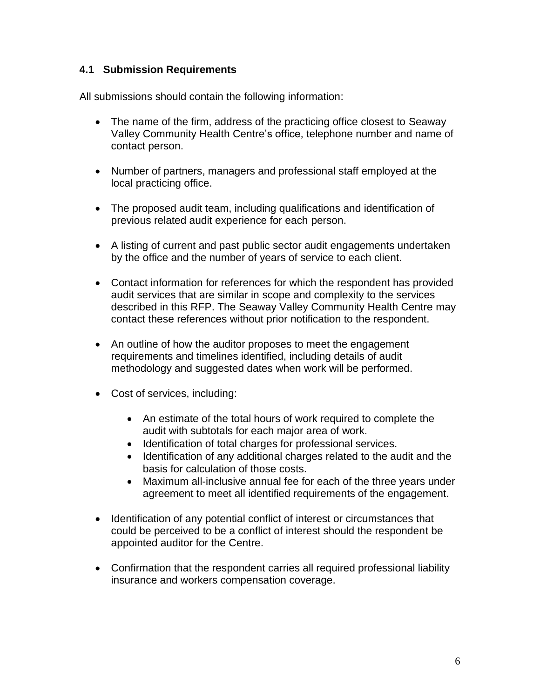#### <span id="page-5-0"></span>**4.1 Submission Requirements**

All submissions should contain the following information:

- The name of the firm, address of the practicing office closest to Seaway Valley Community Health Centre's office, telephone number and name of contact person.
- Number of partners, managers and professional staff employed at the local practicing office.
- The proposed audit team, including qualifications and identification of previous related audit experience for each person.
- A listing of current and past public sector audit engagements undertaken by the office and the number of years of service to each client.
- Contact information for references for which the respondent has provided audit services that are similar in scope and complexity to the services described in this RFP. The Seaway Valley Community Health Centre may contact these references without prior notification to the respondent.
- An outline of how the auditor proposes to meet the engagement requirements and timelines identified, including details of audit methodology and suggested dates when work will be performed.
- Cost of services, including:
	- An estimate of the total hours of work required to complete the audit with subtotals for each major area of work.
	- Identification of total charges for professional services.
	- Identification of any additional charges related to the audit and the basis for calculation of those costs.
	- Maximum all-inclusive annual fee for each of the three years under agreement to meet all identified requirements of the engagement.
- Identification of any potential conflict of interest or circumstances that could be perceived to be a conflict of interest should the respondent be appointed auditor for the Centre.
- Confirmation that the respondent carries all required professional liability insurance and workers compensation coverage.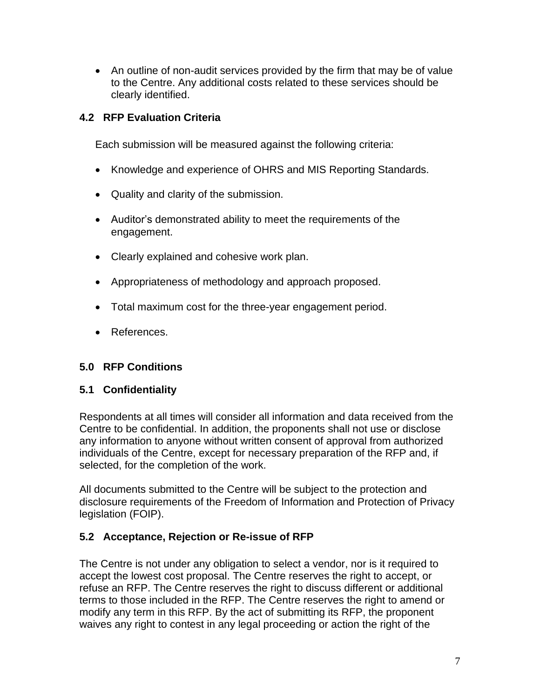• An outline of non-audit services provided by the firm that may be of value to the Centre. Any additional costs related to these services should be clearly identified.

#### <span id="page-6-0"></span>**4.2 RFP Evaluation Criteria**

Each submission will be measured against the following criteria:

- Knowledge and experience of OHRS and MIS Reporting Standards.
- Quality and clarity of the submission.
- Auditor's demonstrated ability to meet the requirements of the engagement.
- Clearly explained and cohesive work plan.
- Appropriateness of methodology and approach proposed.
- Total maximum cost for the three-year engagement period.
- References.

#### <span id="page-6-1"></span>**5.0 RFP Conditions**

#### <span id="page-6-2"></span>**5.1 Confidentiality**

Respondents at all times will consider all information and data received from the Centre to be confidential. In addition, the proponents shall not use or disclose any information to anyone without written consent of approval from authorized individuals of the Centre, except for necessary preparation of the RFP and, if selected, for the completion of the work.

All documents submitted to the Centre will be subject to the protection and disclosure requirements of the Freedom of Information and Protection of Privacy legislation (FOIP).

#### <span id="page-6-3"></span>**5.2 Acceptance, Rejection or Re-issue of RFP**

The Centre is not under any obligation to select a vendor, nor is it required to accept the lowest cost proposal. The Centre reserves the right to accept, or refuse an RFP. The Centre reserves the right to discuss different or additional terms to those included in the RFP. The Centre reserves the right to amend or modify any term in this RFP. By the act of submitting its RFP, the proponent waives any right to contest in any legal proceeding or action the right of the